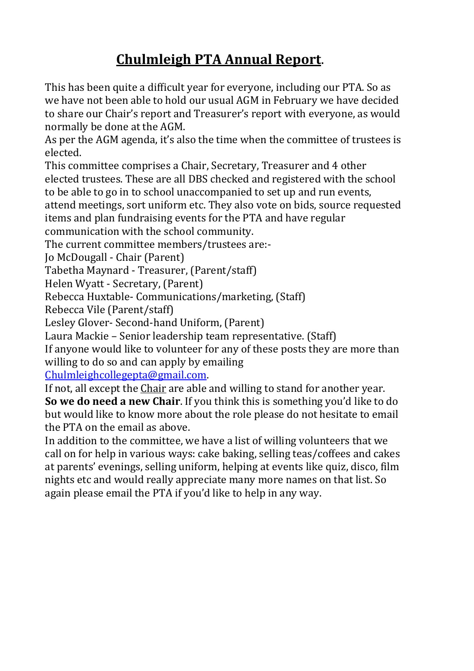# **Chulmleigh PTA Annual Report**.

This has been quite a difficult year for everyone, including our PTA. So as we have not been able to hold our usual AGM in February we have decided to share our Chair's report and Treasurer's report with everyone, as would normally be done at the AGM.

As per the AGM agenda, it's also the time when the committee of trustees is elected.

This committee comprises a Chair, Secretary, Treasurer and 4 other elected trustees. These are all DBS checked and registered with the school to be able to go in to school unaccompanied to set up and run events,

attend meetings, sort uniform etc. They also vote on bids, source requested items and plan fundraising events for the PTA and have regular

communication with the school community.

The current committee members/trustees are:-

Jo McDougall - Chair (Parent)

Tabetha Maynard - Treasurer, (Parent/staff)

Helen Wyatt - Secretary, (Parent)

Rebecca Huxtable- Communications/marketing, (Staff)

Rebecca Vile (Parent/staff)

Lesley Glover- Second-hand Uniform, (Parent)

Laura Mackie – Senior leadership team representative. (Staff)

If anyone would like to volunteer for any of these posts they are more than willing to do so and can apply by emailing

[Chulmleighcollegepta@gmail.com.](mailto:Chulmleighcollegepta@gmail.com)

If not, all except the Chair are able and willing to stand for another year. **So we do need a new Chair**. If you think this is something you'd like to do but would like to know more about the role please do not hesitate to email the PTA on the email as above.

In addition to the committee, we have a list of willing volunteers that we call on for help in various ways: cake baking, selling teas/coffees and cakes at parents' evenings, selling uniform, helping at events like quiz, disco, film nights etc and would really appreciate many more names on that list. So again please email the PTA if you'd like to help in any way.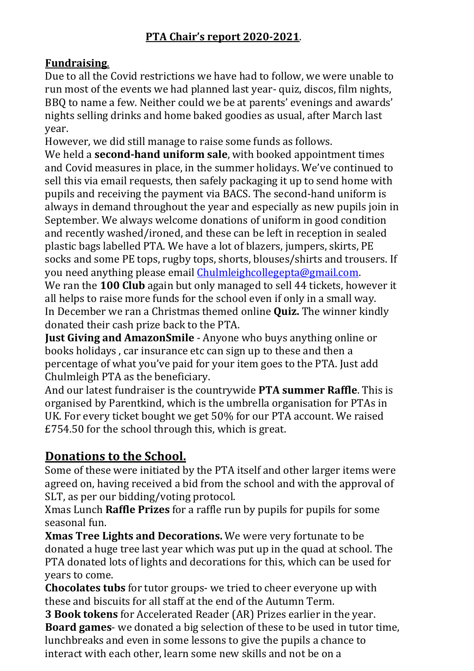## **PTA Chair's report 2020-2021**.

### **Fundraising**.

Due to all the Covid restrictions we have had to follow, we were unable to run most of the events we had planned last year- quiz, discos, film nights, BBQ to name a few. Neither could we be at parents' evenings and awards' nights selling drinks and home baked goodies as usual, after March last year.

However, we did still manage to raise some funds as follows.

We held a **second-hand uniform sale**, with booked appointment times and Covid measures in place, in the summer holidays. We've continued to sell this via email requests, then safely packaging it up to send home with pupils and receiving the payment via BACS. The second-hand uniform is always in demand throughout the year and especially as new pupils join in September. We always welcome donations of uniform in good condition and recently washed/ironed, and these can be left in reception in sealed plastic bags labelled PTA. We have a lot of blazers, jumpers, skirts, PE socks and some PE tops, rugby tops, shorts, blouses/shirts and trousers. If you need anything please email [Chulmleighcollegepta@gmail.com.](mailto:Chulmleighcollegepta@gmail.com)

We ran the **100 Club** again but only managed to sell 44 tickets, however it all helps to raise more funds for the school even if only in a small way. In December we ran a Christmas themed online **Quiz.** The winner kindly donated their cash prize back to the PTA.

**Just Giving and AmazonSmile** - Anyone who buys anything online or books holidays , car insurance etc can sign up to these and then a percentage of what you've paid for your item goes to the PTA. Just add Chulmleigh PTA as the beneficiary.

And our latest fundraiser is the countrywide **PTA summer Raffle**. This is organised by Parentkind, which is the umbrella organisation for PTAs in UK. For every ticket bought we get 50% for our PTA account. We raised £754.50 for the school through this, which is great.

## **Donations to the School.**

Some of these were initiated by the PTA itself and other larger items were agreed on, having received a bid from the school and with the approval of SLT, as per our bidding/voting protocol.

Xmas Lunch **Raffle Prizes** for a raffle run by pupils for pupils for some seasonal fun.

**Xmas Tree Lights and Decorations.** We were very fortunate to be donated a huge tree last year which was put up in the quad at school. The PTA donated lots of lights and decorations for this, which can be used for years to come.

**Chocolates tubs** for tutor groups- we tried to cheer everyone up with these and biscuits for all staff at the end of the Autumn Term.

**3 Book tokens** for Accelerated Reader (AR) Prizes earlier in the year. **Board games**- we donated a big selection of these to be used in tutor time, lunchbreaks and even in some lessons to give the pupils a chance to interact with each other, learn some new skills and not be on a